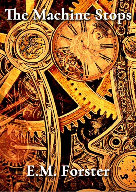# The Machine Stops

**Boxter** 

**B**&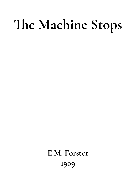# The Machine Stops

## **E.M. Forster 1909**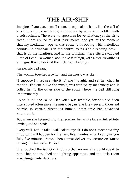#### **THE AIR-SHIP**

Imagine, if you can, a small room, hexagonal in shape, like the cell of a bee. It is lighted neither by window nor by lamp, yet it is filled with a soft radiance. There are no apertures for ventilation, yet the air is fresh. There are no musical instruments, and yet, at the moment that my meditation opens, this room is throbbing with melodious sounds. An armchair is in the centre, by its side a reading-desk that is all the furniture. And in the armchair there sits a swaddled lump of flesh  $-$  a woman, about five feet high, with a face as white as a fungus. It is to her that the little room belongs.

An electric bell rang.

The woman touched a switch and the music was silent.

"I suppose I must see who it is", she thought, and set her chair in motion. The chair, like the music, was worked by machinery and it rolled her to the other side of the room where the bell still rang importunately.

"Who is it?" she called. Her voice was irritable, for she had been interrupted often since the music began. She knew several thousand people, in certain directions human intercourse had advanced enormously.

But when she listened into the receiver, her white face wrinkled into smiles, and she said:

"Very well. Let us talk, I will isolate myself. I do not expect anything important will happen for the next five minutes  $-$  for I can give you fully five minutes, Kuno. Then I must deliver my lecture on 'Music during the Australian Period".

She touched the isolation knob, so that no one else could speak to her. Then she touched the lighting apparatus, and the little room was plunged into darkness.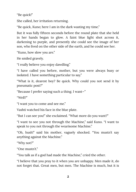"Be quick!"

She called, her irritation returning.

"Be quick, Kuno; here I am in the dark wasting my time."

But it was fully fifteen seconds before the round plate that she held in her hands began to glow. A faint blue light shot across it, darkening to purple, and presently she could see the image of her son, who lived on the other side of the earth, and he could see her.

"Kuno, how slow you are."

He smiled gravely.

"I really believe you enjoy dawdling."

"I have called you before, mother, but you were always busy or isolated. I have something particular to say."

"What is it, dearest boy? Be quick. Why could you not send it by pneumatic post?"

"Because I prefer saying such a thing. I want—"

"Well?"

"I want you to come and see me."

Vashti watched his face in the blue plate.

"But I can see you!" she exclaimed. "What more do you want?"

"I want to see you not through the Machine," said Kuno. "I want to speak to you not through the wearisome Machine."

"Oh, hush!" said his mother, vaguely shocked. "You mustn't say anything against the Machine."

"Why not?"

"One mustn't."

"You talk as if a god had made the Machine," cried the other.

"I believe that you pray to it when you are unhappy. Men made it, do not forget that. Great men, but men. The Machine is much, but it is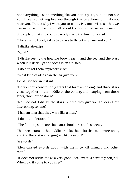not everything. I see something like you in this plate, but I do not see you. I hear something like you through this telephone, but I do not hear you. That is why I want you to come. Pay me a visit, so that we can meet face to face, and talk about the hopes that are in my mind."

She replied that she could scarcely spare the time for a visit.

"The air-ship barely takes two days to fly between me and you."

"I dislike air-ships."

"Why?"

"I dislike seeing the horrible brown earth, and the sea, and the stars when it is dark. I get no ideas in an air-ship."

"I do not get them anywhere else."

"What kind of ideas can the air give you?"

He paused for an instant.

"Do you not know four big stars that form an oblong, and three stars close together in the middle of the oblong, and hanging from these stars, three other stars?"

"No, I do not. I dislike the stars. But did they give you an idea? How interesting; tell me."

"I had an idea that they were like a man."

"I do not understand."

"The four big stars are the man's shoulders and his knees.

The three stars in the middle are like the belts that men wore once, and the three stars hanging are like a sword."

"A sword?"

"Men carried swords about with them, to kill animals and other men."

"It does not strike me as a very good idea, but it is certainly original. When did it come to you first?"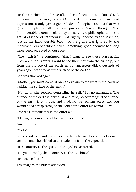"In the air-ship —" He broke off, and she fancied that he looked sad. She could not be sure, for the Machine did not transmit nuances of expression. It only gave a general idea of people — an idea that was good enough for all practical purposes, Vashti thought. The imponderable bloom, declared by a discredited philosophy to be the actual essence of intercourse, was rightly ignored by the Machine, just as the imponderable bloom of the grape was ignored by the manufacturers of artificial fruit. Something "good enough" had long since been accepted by our race.

"The truth is," he continued, "that I want to see these stars again. They are curious stars. I want to see them not from the air-ship, but from the surface of the earth, as our ancestors did, thousands of years ago. I want to visit the surface of the earth."

She was shocked again.

"Mother, you must come, if only to explain to me what is the harm of visiting the surface of the earth."

"No harm," she replied, controlling herself. "But no advantage. The surface of the earth is only dust and mud, no advantage. The surface of the earth is only dust and mud, no life remains on it, and you would need a respirator, or the cold of the outer air would kill you.

One dies immediately in the outer air."

"I know; of course I shall take all precautions."

```
"And besides—"
```
"Well?"

She considered, and chose her words with care. Her son had a queer temper, and she wished to dissuade him from the expedition.

"It is contrary to the spirit of the age," she asserted.

"Do you mean by that, contrary to the Machine?"

"In a sense, but—"

His image is the blue plate faded.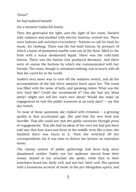"Kuno!"

He had isolated himself.

For a moment Vashti felt lonely.

Then she generated the light, and the sight of her room, flooded with radiance and studded with electric buttons, revived her. There were buttons and switches everywhere— buttons to call for food for music, for clothing. There was the hot-bath button, by pressure of which a basin of (imitation) marble rose out of the floor, filled to the brim with a warm deodorized liquid. There was the cold-bath button. There was the button that produced literature. And there were of course the buttons by which she communicated with her friends. The room, though it contained nothing, was in touch with all that she cared for in the world.

Vashti's next move was to turn off the isolation switch, and all the accumulations of the last three minutes burst upon her. The room was filled with the noise of bells, and speaking-tubes. What was the new food like? Could she recommend it? Has she had any ideas lately? Might one tell her one's own ideas? Would she make an engagement to visit the public nurseries at an early date?  $-$  say this day month.

To most of these questions she replied with irritation  $-$  a growing quality in that accelerated age. She said that the new food was horrible. That she could not visit the public nurseries through press of engagements. That she had no ideas of her own but had just been told one-that four stars and three in the middle were like a man: she doubted there was much in it. Then she switched off her correspondents, for it was time to deliver her lecture on Australian music.

The clumsy system of public gatherings had been long since abandoned; neither Vashti nor her audience stirred from their rooms. Seated in her armchair she spoke, while they in their armchairs heard her, fairly well, and saw her, fairly well. She opened with a humorous account of music in the pre-Mongolian epoch, and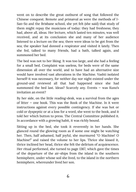went on to describe the great outburst of song that followed the Chinese conquest. Remote and primæval as were the methods of I-San-So and the Brisbane school, she yet felt (she said) that study of them might repay the musicians of today: they had freshness; they had, above all, ideas. Her lecture, which lasted ten minutes, was well received, and at its conclusion she and many of her audience listened to a lecture on the sea; there were ideas to be got from the sea; the speaker had donned a respirator and visited it lately. Then she fed, talked to many friends, had a bath, talked again, and summoned her bed.

The bed was not to her liking. It was too large, and she had a feeling for a small bed. Complaint was useless, for beds were of the same dimension all over the world, and to have had an alternative size would have involved vast alterations in the Machine. Vashti isolated herself-it was necessary, for neither day nor night existed under the ground-and reviewed all that had happened since she had summoned the bed last. Ideas? Scarcely any. Events — was Kuno's invitation an event?

By her side, on the little reading-desk, was a survival from the ages of litter — one book. This was the Book of the Machine. In it were instructions against every possible contingency. If she was hot or cold or dyspeptic or at a loss for a word, she went to the book, and it told her which button to press. The Central Committee published it. In accordance with a growing habit, it was richly bound.

Sitting up in the bed, she took it reverently in her hands. She glanced round the glowing room as if some one might be watching her. Then, half ashamed, half joyful, she murmured "O Machine! O Machine!" and raised the volume to her lips. Thrice she kissed it, thrice inclined her head, thrice she felt the delirium of acquiescence. Her ritual performed, she turned to page 1367, which gave the times of the departure of the air-ships from the island in the southern hemisphere, under whose soil she lived, to the island in the northern hemisphere, whereunder lived her son.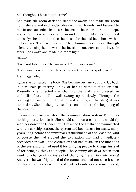She thought, "I have not the time."

She made the room dark and slept; she awoke and made the room light; she ate and exchanged ideas with her friends, and listened to music and attended lectures; she make the room dark and slept. Above her, beneath her, and around her, the Machine hummed eternally; she did not notice the noise, for she had been born with it in her ears. The earth, carrying her, hummed as it sped through silence, turning her now to the invisible sun, now to the invisible stars. She awoke and made the room light.

"Kuno!"

"I will not talk to you," he answered, "until you come."

"Have you been on the surface of the earth since we spoke last?"

His image faded.

Again she consulted the book. She became very nervous and lay back in her chair palpitating. Think of her as without teeth or hair. Presently she directed the chair to the wall, and pressed an unfamiliar button. The wall swung apart slowly. Through the opening she saw a tunnel that curved slightly, so that its goal was not visible. Should she go to see her son, here was the beginning of the journey.

Of course she knew all about the communication-system. There was nothing mysterious in it. She would summon a car and it would fly with her down the tunnel until it reached the lift that communicated with the air-ship station: the system had been in use for many, many years, long before the universal establishment of the Machine. And of course she had studied the civilization that had immediately preceded her own — the civilization that had mistaken the functions of the system, and had used it for bringing people to things, instead of for bringing things to people. Those funny old days, when men went for change of air instead of changing the air in their rooms! And yet—she was frightened of the tunnel: she had not seen it since her last child was born. It curved—but not quite as she remembered;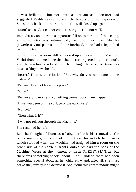it was brilliant — but not quite as brilliant as a lecturer had suggested. Vashti was seized with the terrors of direct experience. She shrank back into the room, and the wall closed up again.

"Kuno," she said, "I cannot come to see you. I am not well."

Immediately an enormous apparatus fell on to her out of the ceiling, a thermometer was automatically laid upon her heart. She lay powerless. Cool pads soothed her forehead. Kuno had telegraphed to her doctor.

So the human passions still blundered up and down in the Machine. Vashti drank the medicine that the doctor projected into her mouth, and the machinery retired into the ceiling. The voice of Kuno was heard asking how she felt.

"Better." Then with irritation: "But why do you not come to me instead?"

"Because I cannot leave this place."

"Why?"

"Because, any moment, something tremendous many happen."

"Have you been on the surface of the earth yet?"

"Not yet."

"Then what is it?"

"I will not tell you through the Machine."

She resumed her life.

But she thought of Kuno as a baby, his birth, his removal to the public nurseries, her own visit to him there, his visits to her  $-$  visits which stopped when the Machine had assigned him a room on the other side of the earth. "Parents, duties of," said the book of the Machine, "cease at the moment of birth. P.422327483." True, but there was something special about Kuno  $-$  indeed there had been something special about all her children  $-$  and, after all, she must brave the journey if he desired it. And "something tremendous might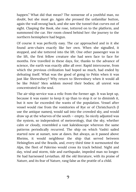happen." What did that mean? The nonsense of a youthful man, no doubt, but she must go. Again she pressed the unfamiliar button, again the wall swung back, and she saw the tunnel that curves out of sight. Clasping the Book, she rose, tottered on to the platform, and summoned the car. Her room closed behind her: the journey to the northern hemisphere had begun.

Of course it was perfectly easy. The car approached and in it she found arm-chairs exactly like her own. When she signalled, it stopped, and she tottered into the lift. One other passenger was in the lift, the first fellow creature she had seen face to face for months. Few travelled in these days, for, thanks to the advance of science, the earth was exactly alike all over. Rapid intercourse, from which the previous civilization had hoped so much, had ended by defeating itself. What was the good of going to Pekin when it was just like Shrewsbury? Why return to Shrewsbury when it would all be like Pekin? Men seldom moved their bodies; all unrest was concentrated in the soul.

The air-ship service was a relic from the former age. It was kept up, because it was easier to keep it up than to stop it or to diminish it, but it now far exceeded the wants of the population. Vessel after vessel would rise from the vomitories of Rye or of Christchurch (I use the antique names), would sail into the crowded sky, and would draw up at the wharves of the south  $-$  empty. So nicely adjusted was the system, so independent of meteorology, that the sky, whether calm or cloudy, resembled a vast kaleidoscope whereon the same patterns periodically recurred. The ship on which Vashti sailed started now at sunset, now at dawn. But always, as it passed above Rheims, it would neighbour the ship that served between Helsingfors and the Brazils, and, every third time it surmounted the Alps, the fleet of Palermo would cross its track behind. Night and day, wind and storm, tide and earthquake, impeded man no longer. He had harnessed Leviathan. All the old literature, with its praise of Nature, and its fear of Nature, rang false as the prattle of a child.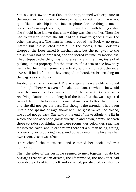Yet as Vashti saw the vast flank of the ship, stained with exposure to the outer air, her horror of direct experience returned. It was not quite like the air-ship in the cinematophote. For one thing it smelt not strongly or unpleasantly, but it did smell, and with her eyes shut she should have known that a new thing was close to her. Then she had to walk to it from the lift, had to submit to glances from the other passengers. The man in front dropped his Book  $-$  no great matter, but it disquieted them all. In the rooms, if the Book was dropped, the floor raised it mechanically, but the gangway to the air-ship was not so prepared, and the sacred volume lay motionless. They stopped–the thing was unforeseen  $-$  and the man, instead of picking up his property, felt the muscles of his arm to see how they had failed him. Then some one actually said with direct utterance: "We shall be late" — and they trooped on board, Vashti treading on the pages as she did so.

Inside, her anxiety increased. The arrangements were old-fashioned and rough. There was even a female attendant, to whom she would have to announce her wants during the voyage. Of course a revolving platform ran the length of the boat, but she was expected to walk from it to her cabin. Some cabins were better than others, and she did not get the best. She thought the attendant had been unfair, and spasms of rage shook her. The glass valves had closed, she could not go back. She saw, at the end of the vestibule, the lift in which she had ascended going quietly up and down, empty. Beneath those corridors of shining tiles were rooms, tier below tier, reaching far into the earth, and in each room there sat a human being, eating, or sleeping, or producing ideas. And buried deep in the hive was her own room. Vashti was afraid.

"O Machine!" she murmured, and caressed her Book, and was comforted.

Then the sides of the vestibule seemed to melt together, as do the passages that we see in dreams, the lift vanished, the Book that had been dropped slid to the left and vanished, polished tiles rushed by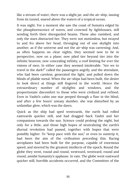like a stream of water, there was a slight jar, and the air-ship, issuing from its tunnel, soared above the waters of a tropical ocean.

It was night. For a moment she saw the coast of Sumatra edged by the phosphorescence of waves, and crowned by lighthouses, still sending forth their disregarded beams. These also vanished, and only the stars distracted her. They were not motionless, but swayed to and fro above her head, thronging out of one skylight into another, as if the universe and not the air-ship was careening. And, as often happens on clear nights, they seemed now to be in perspective, now on a plane; now piled tier beyond tier into the infinite heavens, now concealing infinity, a roof limiting for ever the visions of men. In either case they seemed intolerable. "Are we to travel in the dark?" called the passengers angrily, and the attendant, who had been careless, generated the light, and pulled down the blinds of pliable metal. When the air-ships had been built, the desire to look direct at things still lingered in the world. Hence the extraordinary number of skylights and windows, and the proportionate discomfort to those who were civilized and refined. Even in Vashti's cabin one star peeped through a flaw in the blind, and after a few hours' uneasy slumber, she was disturbed by an unfamiliar glow, which was the dawn.

Quick as the ship had sped westwards, the earth had rolled eastwards quicker still, and had dragged back Vashti and her companions towards the sun. Science could prolong the night, but only for a little, and those high hopes of neutralizing the earth's diurnal revolution had passed, together with hopes that were possibly higher. To "keep pace with the sun," or even to outstrip it, had been the aim of the civilization preceding this. Racing aeroplanes had been built for the purpose, capable of enormous speed, and steered by the greatest intellects of the epoch. Round the globe they went, round and round, westward, westward, round and round, amidst humanity's applause. In vain. The globe went eastward quicker still, horrible accidents occurred, and the Committee of the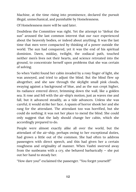Machine, at the time rising into prominence, declared the pursuit illegal, unmechanical, and punishable by Homelessness.

Of Homelessness more will be said later.

Doubtless the Committee was right. Yet the attempt to "defeat the sun" aroused the last common interest that our race experienced about the heavenly bodies, or indeed about anything. It was the last time that men were compacted by thinking of a power outside the world. The sun had conquered, yet it was the end of his spiritual dominion. Dawn, midday, twilight, the zodiacal path, touched neither men's lives not their hearts, and science retreated into the ground, to concentrate herself upon problems that she was certain of solving.

So when Vashti found her cabin invaded by a rosy finger of light, she was annoyed, and tried to adjust the blind. But the blind flew up altogether, and she saw through the skylight small pink clouds, swaying against a background of blue, and as the sun crept higher, its radiance entered direct, brimming down the wall, like a golden sea. It rose and fell with the air-ship's motion, just as waves rise and fall, but it advanced steadily, as a tide advances. Unless she was careful, it would strike her face. A spasm of horror shook her and she rang for the attendant. The attendant too was horrified, but she could do nothing; it was not her place to mend the blind. She could only suggest that the lady should change her cabin, which she accordingly prepared to do.

People were almost exactly alike all over the world, but the attendant of the air-ship, perhaps owing to her exceptional duties, had grown a little out of the common. She had often to address passengers with direct speech, and this had given her a certain roughness and originality of manner. When Vashti swerved away from the sunbeams with a cry, she behaved barbarically  $-$  she put out her hand to steady her.

"How dare you!" exclaimed the passenger. "You forget yourself!"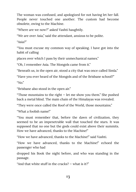The woman was confused, and apologized for not having let her fall. People never touched one another. The custom had become obsolete, owing to the Machine.

"Where are we now?" asked Vashti haughtily.

"We are over Asia," said the attendant, anxious to be polite.

"Asia?"

"You must excuse my common way of speaking. I have got into the habit of calling

places over which I pass by their unmechanical names."

"Oh, I remember Asia. The Mongols came from it."

"Beneath us, in the open air, stood a city that was once called Simla."

"Have you ever heard of the Mongols and of the Brisbane school?" " $No.$ "

"Brisbane also stood in the open air."

"Those mountains to the right  $-$  let me show you them." She pushed back a metal blind. The main chain of the Himalayas was revealed.

"They were once called the Roof of the World, those mountains."

"What a foolish name!"

"You must remember that, before the dawn of civilization, they seemed to be an impenetrable wall that touched the stars. It was supposed that no one but the gods could exist above their summits. How we have advanced, thanks to the Machine!"

"How we have advanced, thanks to the Machine!" said Vashti.

"How we have advanced, thanks to the Machine!" echoed the passenger who had

dropped his Book the night before, and who was standing in the passage.

"And that white stuff in the cracks? — what is it?"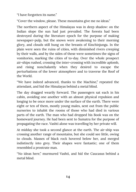"I have forgotten its name."

"Cover the window, please. These mountains give me no ideas."

The northern aspect of the Himalayas was in deep shadow: on the Indian slope the sun had just prevailed. The forests had been destroyed during the literature epoch for the purpose of making newspaper-pulp, but the snows were awakening to their morning glory, and clouds still hung on the breasts of Kinchinjunga. In the plain were seen the ruins of cities, with diminished rivers creeping by their walls, and by the sides of these were sometimes the signs of vomitories, marking the cities of to-day. Over the whole prospect air-ships rushed, crossing the inter-crossing with incredible aplomb, and rising nonchalantly when they desired to escape the perturbations of the lower atmosphere and to traverse the Roof of the World.

"We have indeed advanced, thanks to the Machine," repeated the attendant, and hid the Himalayas behind a metal blind.

The day dragged wearily forward. The passengers sat each in his cabin, avoiding one another with an almost physical repulsion and longing to be once more under the surface of the earth. There were eight or ten of them, mostly young males, sent out from the public nurseries to inhabit the rooms of those who had died in various parts of the earth. The man who had dropped his Book was on the homeward journey. He had been sent to Sumatra for the purpose of propagating the race. Vashti alone was travelling by her private will.

At midday she took a second glance at the earth. The air-ship was crossing another range of mountains, but she could see little, owing to clouds. Masses of black rock hovered below her, and merged indistinctly into grey. Their shapes were fantastic; one of them resembled a prostrate man.

"No ideas here," murmured Vashti, and hid the Caucasus behind a metal blind.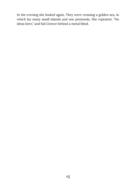In the evening she looked again. They were crossing a golden sea, in which lay many small islands and one peninsula. She repeated, "No ideas here," and hid Greece behind a metal blind.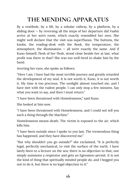### **THE MENDING APPARATUS**

By a vestibule, by a lift, by a tubular railway, by a platform, by a sliding door — by reversing all the steps of her departure did Vashti arrive at her son's room, which exactly resembled her own. She might well declare that the visit was superfluous. The buttons, the knobs, the reading-desk with the Book, the temperature, the atmosphere, the illumination  $-$  all were exactly the same. And if Kuno himself, flesh of her flesh, stood close beside her at last, what profit was there in that? She was too well-bred to shake him by the hand.

Averting her eyes, she spoke as follows:

"Here I am. I have had the most terrible journey and greatly retarded the development of my soul. It is not worth it, Kuno, it is not worth it. My time is too precious. The sunlight almost touched me, and I have met with the rudest people. I can only stop a few minutes. Say what you want to say, and then I must return."

"I have been threatened with Homelessness," said Kuno.

She looked at him now.

"I have been threatened with Homelessness, and I could not tell you such a thing through the Machine."

Homelessness means death. The victim is exposed to the air, which kills him.

"I have been outside since I spoke to you last. The tremendous thing has happened, and they have discovered me."

"But why shouldn't you go outside?" she exclaimed, "It is perfectly legal, perfectly mechanical, to visit the surface of the earth. I have lately been to a lecture on the sea; there is no objection to that; one simply summons a respirator and gets an Egression-permit. It is not the kind of thing that spiritually minded people do, and I begged you not to do it, but there is no legal objection to it."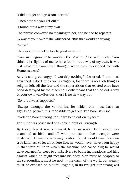"I did not get an Egression-permit."

"Then how did you get out?"

"I found out a way of my own."

The phrase conveyed no meaning to her, and he had to repeat it.

"A way of your own?" she whispered. "But that would be wrong."

"Why?"

The question shocked her beyond measure.

"You are beginning to worship the Machine," he said coldly. "You think it irreligious of me to have found out a way of my own. It was just what the Committee thought, when they threatened me with Homelessness."

At this she grew angry. "I worship nothing!" she cried. "I am most advanced. I don't think you irreligious, for there is no such thing as religion left. All the fear and the superstition that existed once have been destroyed by the Machine. I only meant that to find out a way of your own was—Besides, there is no new way out."

"So it is always supposed."

"Except through the vomitories, for which one must have an Egression-permit, it is impossible to get out. The Book says so."

"Well, the Book's wrong, for I have been out on my feet."

For Kuno was possessed of a certain physical strength.

By these days it was a demerit to be muscular. Each infant was examined at birth, and all who promised undue strength were destroyed. Humanitarians may protest, but it would have been no true kindness to let an athlete live; he would never have been happy in that state of life to which the Machine had called him; he would have yearned for trees to climb, rivers to bathe in, meadows and hills against which he might measure his body. Man must be adapted to his surroundings, must he not? In the dawn of the world our weakly must be exposed on Mount Taygetus, in its twilight our strong will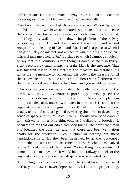suffer euthanasia, that the Machine may progress, that the Machine may progress, that the Machine may progress eternally.

"You know that we have lost the sense of space. We say 'space is annihilated,' but we have annihilated not space, but the sense thereof. We have lost a part of ourselves. I determined to recover it, and I began by walking up and down the platform of the railway outside my room. Up and down, until I was tired, and so did recapture the meaning of 'Near' and 'Far.' 'Near' is a place to which I can get quickly on my feet, not a place to which the train or the airship will take me quickly. 'Far' is a place to which I cannot get quickly on my feet; the vomitory is 'far,' though I could be there in thirtyeight seconds by summoning the train. Man is the measure. That was my first lesson. Man's feet are the measure for distance, his hands are the measure for ownership, his body is the measure for all that is lovable and desirable and strong. Then I went further: it was then that I called to you for the first time, and you would not come.

"This city, as you know, is built deep beneath the surface of the earth, with only the vomitories protruding. Having paced the platform outside my own room, I took the lift to the next platform and paced that also, and so with each in turn, until I came to the topmost, above which begins the earth. All the platforms were exactly alike, and all that I gained by visiting them was to develop my sense of space and my muscles. I think I should have been content with this—it is not a little thing—but as I walked and brooded, it occurred to me that our cities had been built in the days when men still breathed the outer air, and that there had been ventilation shafts for the workmen. I could think of nothing but these ventilation shafts. Had they been destroyed by all the food-tubes and medicine-tubes and music-tubes that the Machine has evolved lately? Or did traces of them remain? One thing was certain. If I came upon them anywhere, it would be in the railway-tunnels of the topmost story. Everywhere else, all space was accounted for.

"I am telling my story quickly, but don't think that I was not a coward or that your answers never depressed me. It is not the proper thing,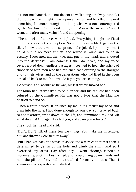it is not mechanical, it is not decent to walk along a railway-tunnel. I did not fear that I might tread upon a live rail and be killed. I feared something far more intangible— doing what was not contemplated by the Machine. Then I said to myself, 'Man is the measure,' and I went, and after many visits I found an opening.

"The tunnels, of course, were lighted. Everything is light, artificial light; darkness is the exception. So when I saw a black gap in the tiles, I knew that it was an exception, and rejoiced. I put in my arm—I could put in no more at first—and waved it round and round in ecstasy. I loosened another tile, and put in my head, and shouted into the darkness: 'I am coming, I shall do it yet,' and my voice reverberated down endless passages. I seemed to hear the spirits of those dead workmen who had returned each evening to the starlight and to their wives, and all the generations who had lived in the open air called back to me, 'You will do it yet, you are coming.' "

He paused, and, absurd as he was, his last words moved her.

For Kuno had lately asked to be a father, and his request had been refused by the Committee. His was not a type that the Machine desired to hand on.

"Then a train passed. It brushed by me, but I thrust my head and arms into the hole. I had done enough for one day, so I crawled back to the platform, went down in the lift, and summoned my bed. Ah what dreams! And again I called you, and again you refused."

She shook her head and said:

"Don't. Don't talk of these terrible things. You make me miserable. You are throwing civilization away."

"But I had got back the sense of space and a man cannot rest then. I determined to get in at the hole and climb the shaft. And so I exercised my arms. Day after day I went through ridiculous movements, until my flesh ached, and I could hang by my hands and hold the pillow of my bed outstretched for many minutes. Then I summoned a respirator, and started.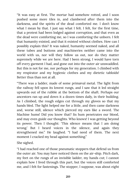"It was easy at first. The mortar had somehow rotted, and I soon pushed some more tiles in, and clambered after them into the darkness, and the spirits of the dead comforted me. I don't know what I mean by that. I just say what I felt. I felt, for the first time, that a protest had been lodged against corruption, and that even as the dead were comforting me, so I was comforting the unborn. I felt that humanity existed, and that it existed without clothes. How can I possibly explain this? It was naked, humanity seemed naked, and all these tubes and buttons and machineries neither came into the world with us, nor will they follow us out, nor do they matter supremely while we are here. Had I been strong, I would have torn off every garment I had, and gone out into the outer air unswaddled. But this is not for me, nor perhaps for my generation. I climbed with my respirator and my hygienic clothes and my dietetic tabloids! Better thus than not at all.

"There was a ladder, made of some primæval metal. The light from the railway fell upon its lowest rungs, and I saw that it led straight upwards out of the rubble at the bottom of the shaft. Perhaps our ancestors ran up and down it a dozen times daily, in their building. As I climbed, the rough edges cut through my gloves so that my hands bled. The light helped me for a little, and then came darkness and, worse still, silence which pierced my ears like a sword. The Machine hums! Did you know that? Its hum penetrates our blood, and may even guide our thoughts. Who knows! I was getting beyond its power. Then I thought: 'This silence means that I am doing wrong.' But I heard voices in the silence, and again they strengthened me." He laughed. "I had need of them. The next moment I cracked my head against something."

She sighed.

"I had reached one of those pneumatic stoppers that defend us from the outer air. You may have noticed them on the air-ship. Pitch dark, my feet on the rungs of an invisible ladder, my hands cut; I cannot explain how I lived through this part, but the voices still comforted me, and I felt for fastenings. The stopper, I suppose, was about eight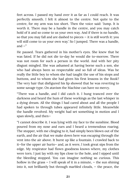feet across. I passed my hand over it as far as I could reach. It was perfectly smooth. I felt it almost to the centre. Not quite to the centre, for my arm was too short. Then the voice said: 'Jump. It is worth it. There may be a handle in the centre, and you may catch hold of it and so come to us your own way. And if there is no handle, so that you may fall and are dashed to pieces  $-$  it is still worth it: you will still come to us your own way.' So I jumped. There was a handle, and  $-$ "

He paused. Tears gathered in his mother's eyes. She knew that he was fated. If he did not die to-day he would die to-morrow. There was not room for such a person in the world. And with her pity disgust mingled. She was ashamed at having borne such a son, she who had always been so respectable and so full of ideas. Was he really the little boy to whom she had taught the use of his stops and buttons, and to whom she had given his first lessons in the Book? The very hair that disfigured his lip showed that he was reverting to some savage type. On atavism the Machine can have no mercy.

"There was a handle, and I did catch it. I hung tranced over the darkness and heard the hum of these workings as the last whisper in a dying dream. All the things I had cared about and all the people I had spoken to through tubes appeared infinitely little. Meanwhile the handle revolved. My weight had set something in motion and I span slowly, and then—

"I cannot describe it. I was lying with my face to the sunshine. Blood poured from my nose and ears and I heard a tremendous roaring. The stopper, with me clinging to it, had simply been blown out of the earth, and the air that we make down here was escaping through the vent into the air above. It burst up like a fountain. I crawled back to it—for the upper air hurts— and, as it were, I took great sips from the edge. My respirator had flown goodness knows where, my clothes were torn. I just lay with my lips close to the hole, and I sipped until the bleeding stopped. You can imagine nothing so curious. This hollow in the grass  $-1$  will speak of it in a minute,  $-$  the sun shining into it, not brilliantly but through marbled clouds, — the peace, the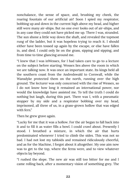nonchalance, the sense of space, and, brushing my cheek, the roaring fountain of our artificial air! Soon I spied my respirator, bobbing up and down in the current high above my head, and higher still were many air-ships. But no one ever looks out of air-ships, and in any case they could not have picked me up. There I was, stranded. The sun shone a little way down the shaft, and revealed the topmost rung of the ladder, but it was hopeless trying to reach it. I should either have been tossed up again by the escape, or else have fallen in, and died. I could only lie on the grass, sipping and sipping, and from time to time glancing around me.

"I knew that I was inWessex, for I had taken care to go to a lecture on the subject before starting. Wessex lies above the room in which we are talking now. It was once an important state. Its kings held all the southern coast from the Andredswald to Cornwall, while the Wansdyke protected them on the north, running over the high ground. The lecturer was only concerned with the rise of Wessex, so I do not know how long it remained an international power, nor would the knowledge have assisted me. To tell the truth I could do nothing but laugh, during this part. There was I, with a pneumatic stopper by my side and a respirator bobbing over my head, imprisoned, all three of us, in a grass-grown hollow that was edged with fern."

Then he grew grave again.

"Lucky for me that it was a hollow. For the air began to fall back into it and to fill it as water fills a bowl. I could crawl about. Presently I stood. I breathed a mixture, in which the air that hurts predominated whenever I tried to climb the sides. This was not so bad. I had not lost my tabloids and remained ridiculously cheerful, and as for the Machine, I forgot about it altogether. My one aim now was to get to the top, where the ferns were, and to view whatever objects lay beyond.

"I rushed the slope. The new air was still too bitter for me and I came rolling back, after a momentary vision of something grey. The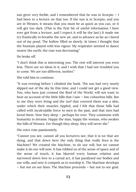sun grew very feeble, and I remembered that he was in Scorpio — I had been to a lecture on that too. If the sun is in Scorpio, and you are in Wessex, it means that you must be as quick as you can, or it will get too dark. (This is the first bit of useful information I have ever got from a lecture, and I expect it will be the last.) It made me try frantically to breathe the new air, and to advance as far as I dared out of my pond. The hollow filled so slowly. At times I thought that the fountain played with less vigour. My respirator seemed to dance nearer the earth; the roar was decreasing."

#### He broke off.

"I don't think this is interesting you. The rest will interest you even less. There are no ideas in it, and I wish that I had not troubled you to come. We are too different, mother."

She told him to continue.

"It was evening before I climbed the bank. The sun had very nearly slipped out of the sky by this time, and I could not get a good view. You, who have just crossed the Roof of the World, will not want to hear an account of the little hills that I saw – low colourless hills. But to me they were living and the turf that covered them was a skin, under which their muscles rippled, and I felt that those hills had called with incalculable force to men in the past, and that men had loved them. Now they sleep — perhaps for ever. They commune with humanity in dreams. Happy the man, happy the woman, who awakes the hills of Wessex. For though they sleep, they will never die."

His voice rose passionately.

"Cannot you see, cannot all you lecturers see, that it is we that are dying, and that down here the only thing that really lives is the Machine? We created the Machine, to do our will, but we cannot make it do our will now. It has robbed us of the sense of space and of the sense of touch, it has blurred every human relation and narrowed down love to a carnal act, it has paralysed our bodies and our wills, and now it compels us to worship it. The Machine develops — but not on our lines. The Machine proceeds — but not to our goal.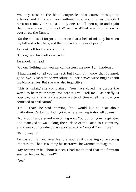We only exist as the blood corpuscles that course through its arteries, and if it could work without us, it would let us die. Oh, I have no remedy-or, at least, only one-to tell men again and again that I have seen the hills of Wessex as Ælfrid saw them when he overthrew the Danes.

"So the sun set. I forgot to mention that a belt of mist lay between my hill and other hills, and that it was the colour of pearl."

He broke off for the second time.

"Go on," said his mother wearily.

He shook his head.

"Go on. Nothing that you say can distress me now. I am hardened."

"I had meant to tell you the rest, but I cannot: I know that I cannot: good-bye." Vashti stood irresolute. All her nerves were tingling with his blasphemies. But she was also inquisitive.

"This is unfair," she complained. "You have called me across the world to hear your story, and hear it I will. Tell me  $-$  as briefly as possible, for this is a disastrous waste of time— tell me how you returned to civilization."

"Oh — that!" he said, starting. "You would like to hear about civilization. Certainly. Had I got to where my respirator fell down?"

"No — but I understand everything now. You put on your respirator, and managed to walk along the surface of the earth to a vomitory, and there your conduct was reported to the Central Committee."

"By no means."

He passed his hand over his forehead, as if dispelling some strong impression. Then, resuming his narrative, he warmed to it again.

"My respirator fell about sunset. I had mentioned that the fountain seemed feebler, had I not?"

"Yes."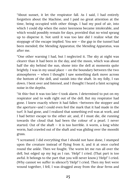"About sunset, it let the respirator fall. As I said, I had entirely forgotten about the Machine, and I paid no great attention at the time, being occupied with other things. I had my pool of air, into which I could dip when the outer keenness became intolerable, and which would possibly remain for days, provided that no wind sprang up to disperse it. Not until it was too late did I realize what the stoppage of the escape implied. You see  $-$  the gap in the tunnel had been mended; the Mending Apparatus; the Mending Apparatus, was after me.

"One other warning I had, but I neglected it. The sky at night was clearer than it had been in the day, and the moon, which was about half the sky behind the sun, shone into the dell at moments quite brightly. I was in my usual place  $-$  on the boundary between the two atmospheres — when I thought I saw something dark move across the bottom of the dell, and vanish into the shaft. In my folly, I ran down. I bent over and listened, and I thought I heard a faint scraping noise in the depths.

"At this—but it was too late—I took alarm. I determined to put on my respirator and to walk right out of the dell. But my respirator had gone. I knew exactly where it had fallen —between the stopper and the aperture—and I could even feel the mark that it had made in the turf. It had gone, and I realized that something evil was at work, and I had better escape to the other air, and, if I must die, die running towards the cloud that had been the colour of a pearl. I never started. Out of the shaft  $-$  it is too horrible. A worm, a long white worm, had crawled out of the shaft and was gliding over the moonlit grass.

"I screamed. I did everything that I should not have done, I stamped upon the creature instead of flying from it, and it at once curled round the ankle. Then we fought. The worm let me run all over the dell, but edged up my leg as I ran. 'Help!' I cried. (That part is too awful. It belongs to the part that you will never know.) 'Help!' I cried. (Why cannot we suffer in silence?) 'Help!' I cried. Then my feet were wound together, I fell, I was dragged away from the dear ferns and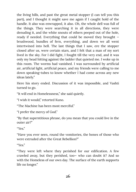the living hills, and past the great metal stopper (I can tell you this part), and I thought it might save me again if I caught hold of the handle. It also was enwrapped, it also. Oh, the whole dell was full of the things. They were searching it in all directions, they were denuding it, and the white snouts of others peeped out of the hole, ready if needed. Everything that could be moved they brought brushwood, bundles of fern, everything, and down we all went intertwined into hell. The last things that I saw, ere the stopper closed after us, were certain stars, and I felt that a man of my sort lived in the sky. For I did fight, I fought till the very end, and it was only my head hitting against the ladder that quieted me. I woke up in this room. The worms had vanished. I was surrounded by artificial air, artificial light, artificial peace, and my friends were calling to me down speaking-tubes to know whether I had come across any new ideas lately."

Here his story ended. Discussion of it was impossible, and Vashti turned to go.

"It will end in Homelessness," she said quietly.

"I wish it would," retorted Kuno.

"The Machine has been most merciful."

"I prefer the mercy of God."

"By that superstitious phrase, do you mean that you could live in the outer air?"

"Yes."

"Have you ever seen, round the vomitories, the bones of those who were extruded after the Great Rebellion?"

"Yes."

"They were left where they perished for our edification. A few crawled away, but they perished, too— who can doubt it? And so with the Homeless of our own day. The surface of the earth supports life no longer."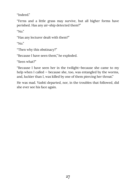"Indeed."

"Ferns and a little grass may survive, but all higher forms have perished. Has any air-ship detected them?"

" $No.$ "

"Has any lecturer dealt with them?"

"No."

"Then why this obstinacy?"

"Because I have seen them," he exploded.

"Seen what?"

"Because I have seen her in the twilight—because she came to my help when I called — because she, too, was entangled by the worms, and, luckier than I, was killed by one of them piercing her throat."

He was mad. Vashti departed, nor, in the troubles that followed, did she ever see his face again.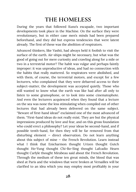#### **THE HOMELESS**

During the years that followed Kuno's escapade, two important developments took place in the Machine. On the surface they were revolutionary, but in either case men's minds had been prepared beforehand, and they did but express tendencies that were latent already. The first of these was the abolition of respirators.

Advanced thinkers, like Vashti, had always held it foolish to visit the surface of the earth. Air-ships might be necessary, but what was the good of going out for mere curiosity and crawling along for a mile or two in a terrestrial motor? The habit was vulgar and perhaps faintly improper: it was unproductive of ideas, and had no connection with the habits that really mattered. So respirators were abolished, and with them, of course, the terrestrial motors, and except for a few lecturers, who complained that they were debarred access to their subject-matter, the development was accepted quietly. Those who still wanted to know what the earth was like had after all only to listen to some gramophone, or to look into some cinematophote. And even the lecturers acquiesced when they found that a lecture on the sea was none the less stimulating when compiled out of other lectures that had already been delivered on the same subject. "Beware of first-hand ideas!" exclaimed one of the most advanced of them. "First-hand ideas do not really exist. They are but the physical impressions produced by love and fear, and on this gross foundation who could erect a philosophy? Let your ideas be second-hand, and if possible tenth-hand, for then they will be far removed from that disturbing element  $-$  direct observation. Do not learn anything about this subject of mine  $-$  the French Revolution. Learn instead what I think that Enicharmon thought Urizen thought Gutch thought Ho-Yung thought Chi-Bo-Sing thought Lafcadio Hearn thought Carlyle thought Mirabeau said about the French Revolution. Through the medium of these ten great minds, the blood that was shed at Paris and the windows that were broken at Versailles will be clarified to an idea which you may employ most profitably in your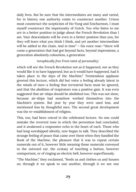daily lives. But be sure that the intermediates are many and varied, for in history one authority exists to counteract another. Urizen must counteract the scepticism of Ho-Yung and Enicharmon, I must myself counteract the impetuosity of Gutch. You who listen to me are in a better position to judge about the French Revolution than I am. Your descendants will be even in a better position than you, for they will learn what you think I think, and yet another intermediate will be added to the chain. And in time" – his voice rose–"there will come a generation that had got beyond facts, beyond impressions, a generation absolutely colourless, a generation

#### *'seraphically free From taint of personality,'*

which will see the French Revolution not as it happened, nor as they would like it to have happened, but as it would have happened, had it taken place in the days of the Machine." Tremendous applause greeted this lecture, which did but voice a feeling already latent in the minds of men—a feeling that terrestrial facts must be ignored, and that the abolition of respirators was a positive gain. It was even suggested that air-ships should be abolished too. This was not done, because air-ships had somehow worked themselves into the Machine's system. But year by year they were used less, and mentioned less by thoughtful men. The second great development was the re-establishment of religion.

This, too, had been voiced in the celebrated lecture. No one could mistake the reverent tone in which the peroration had concluded, and it awakened a responsive echo in the heart of each. Those who had long worshipped silently, now began to talk. They described the strange feeling of peace that came over them when they handled the Book of the Machine, the pleasure that it was to repeat certain numerals out of it, however little meaning those numerals conveyed to the outward ear, the ecstasy of touching a button, however unimportant, or of ringing an electric bell, however superfluously.

"The Machine," they exclaimed, "feeds us and clothes us and houses us; through it we speak to one another, through it we see one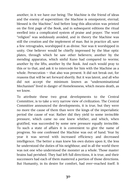another, in it we have our being. The Machine is the friend of ideas and the enemy of superstition: the Machine is omnipotent, eternal; blessed is the Machine." And before long this allocution was printed on the first page of the Book, and in subsequent editions the ritual swelled into a complicated system of praise and prayer. The word "religion" was sedulously avoided, and in theory the Machine was still the creation and the implement of man. But in practice all, save a few retrogrades, worshipped it as divine. Nor was it worshipped in unity. One believer would be chiefly impressed by the blue optic plates, through which he saw other believers; another by the mending apparatus, which sinful Kuno had compared to worms; another by the lifts, another by the Book. And each would pray to this or to that, and ask it to intercede for him with the Machine as a whole. Persecution — that also was present. It did not break out, for reasons that will be set forward shortly. But it was latent, and all who did not accept the minimum known as "undenominational Mechanism" lived in danger of Homelessness, which means death, as we know.

To attribute these two great developments to the Central Committee, is to take a very narrow view of civilization. The Central Committee announced the developments, it is true, but they were no more the cause of them than were the kings of the imperialistic period the cause of war. Rather did they yield to some invincible pressure, which came no one knew whither, and which, when gratified, was succeeded by some new pressure equally invincible. To such a state of affairs it is convenient to give the name of progress. No one confessed the Machine was out of hand. Year by year it was served with increased efficiency and decreased intelligence. The better a man knew his own duties upon it, the less he understood the duties of his neighbour, and in all the world there was not one who understood the monster as a whole. Those master brains had perished. They had left full directions, it is true, and their successors had each of them mastered a portion of those directions. But Humanity, in its desire for comfort, had over-reached itself. It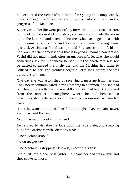had exploited the riches of nature too far. Quietly and complacently, it was sinking into decadence, and progress had come to mean the progress of the Machine.

As for Vashti, her life went peacefully forward until the final disaster. She made her room dark and slept; she awoke and made the room light. She lectured and attended lectures. She exchanged ideas with her innumerable friends and believed she was growing more spiritual. At times a friend was granted Euthanasia, and left his or her room for the homelessness that is beyond all human conception. Vashti did not much mind. After an unsuccessful lecture, she would sometimes ask for Euthanasia herself. But the death-rate was not permitted to exceed the birth-rate, and the Machine had hitherto refused it to her. The troubles began quietly, long before she was conscious of them.

One day she was astonished at receiving a message from her son. They never communicated, having nothing in common, and she had only heard indirectly that he was still alive, and had been transferred from the northern hemisphere, where he had behaved so mischievously, to the southern—indeed, to a room not far from her own.

"Does he want me to visit him?" she thought. "Never again, never. And I have not the time."

No, it was madness of another kind.

He refused to visualize his face upon the blue plate, and speaking out of the darkness with solemnity said:

"The Machine stops."

```
"What do you say?"
```
"The Machine is stopping, I know it, I know the signs."

She burst into a peal of laughter. He heard her and was angry, and they spoke no more.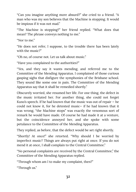"Can you imagine anything more absurd?" she cried to a friend. "A man who was my son believes that the Machine is stopping. It would be impious if it was not mad."

"The Machine is stopping?" her friend replied. "What does that mean? The phrase conveys nothing to me."

"Nor to me"

"He does not refer, I suppose, to the trouble there has been lately with the music?"

"Oh no, of course not. Let us talk about music."

"Have you complained to the authorities?"

"Yes, and they say it wants mending, and referred me to the Committee of the Mending Apparatus. I complained of those curious gasping sighs that disfigure the symphonies of the Brisbane school. They sound like some one in pain. The Committee of the Mending Apparatus say that it shall be remedied shortly."

Obscurely worried, she resumed her life. For one thing, the defect in the music irritated her. For another thing, she could not forget Kuno's speech. If he had known that the music was out of repair  $-$  he could not know it, for he detested music— if he had known that it was wrong, "the Machine stops" was exactly the venomous sort of remark he would have made. Of course he had made it at a venture, but the coincidence annoyed her, and she spoke with some petulance to the Committee of the Mending Apparatus.

They replied, as before, that the defect would be set right shortly.

"Shortly! At once!" she retorted. "Why should I be worried by imperfect music? Things are always put right at once. If you do not mend it at once, I shall complain to the Central Committee."

"No personal complaints are received by the Central Committee," the Committee of the Mending Apparatus replied.

"Through whom am I to make my complaint, then?"

"Through us."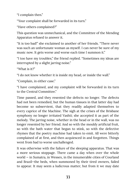"I complain then."

"Your complaint shall be forwarded in its turn."

"Have others complained?"

This question was unmechanical, and the Committee of the Mending Apparatus refused to answer it.

"It is too bad!" she exclaimed to another of her friends. "There never was such an unfortunate woman as myself. I can never be sure of my music now. It gets worse and worse each time I summon it."

"I too have my troubles," the friend replied. "Sometimes my ideas are interrupted by a slight jarring noise."

"What is it?"

"I do not know whether it is inside my head, or inside the wall."

"Complain, in either case."

"I have complained, and my complaint will be forwarded in its turn to the Central Committee."

Time passed, and they resented the defects no longer. The defects had not been remedied, but the human tissues in that latter day had become so subservient, that they readily adapted themselves to every caprice of the Machine. The sigh at the crises of the Brisbane symphony no longer irritated Vashti; she accepted it as part of the melody. The jarring noise, whether in the head or in the wall, was no longer resented by her friend. And so with the mouldy artificial fruit, so with the bath water that began to stink, so with the defective rhymes that the poetry machine had taken to emit. All were bitterly complained of at first, and then acquiesced in and forgotten. Things went from bad to worse unchallenged.

It was otherwise with the failure of the sleeping apparatus. That was a more serious stoppage. There came a day when over the whole world — in Sumatra, in Wessex, in the innumerable cities of Courland and Brazil—the beds, when summoned by their tired owners, failed to appear. It may seem a ludicrous matter, but from it we may date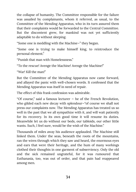the collapse of humanity. The Committee responsible for the failure was assailed by complainants, whom it referred, as usual, to the Committee of the Mending Apparatus, who in its turn assured them that their complaints would be forwarded to the Central Committee. But the discontent grew, for mankind was not yet sufficiently adaptable to do without sleeping.

"Some one is meddling with the Machine—" they began.

"Some one is trying to make himself king, to reintroduce the personal element."

"Punish that man with Homelessness."

"To the rescue! Avenge the Machine! Avenge the Machine!"

"War! Kill the man!"

But the Committee of the Mending Apparatus now came forward, and allayed the panic with well-chosen words. It confessed that the Mending Apparatus was itself in need of repair.

The effect of this frank confession was admirable.

"Of course," said a famous lecturer  $-$  he of the French Revolution, who gilded each new decay with splendour–"of course we shall not press our complaints now. The Mending Apparatus has treated us so well in the past that we all sympathize with it, and will wait patiently for its recovery. In its own good time it will resume its duties. Meanwhile let us do without our beds, our tabloids, our other little wants. Such, I feel sure, would be the wish of the Machine."

Thousands of miles away his audience applauded. The Machine still linked them. Under the seas, beneath the roots of the mountains, ran the wires through which they saw and heard, the enormous eyes and ears that were their heritage, and the hum of many workings clothed their thoughts in one garment of subserviency. Only the old and the sick remained ungrateful, for it was rumoured that Euthanasia, too, was out of order, and that pain had reappeared among men.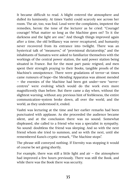It became difficult to read. A blight entered the atmosphere and dulled its luminosity. At times Vashti could scarcely see across her room. The air, too, was foul. Loud were the complaints, impotent the remedies, heroic the tone of the lecturer as he cried: "Courage! courage! What matter so long as the Machine goes on? To it the darkness and the light are one." And though things improved again after a time, the old brilliancy was never recaptured, and humanity never recovered from its entrance into twilight. There was an hysterical talk of "measures," of "provisional dictatorship," and the inhabitants of Sumatra were asked to familiarize themselves with the workings of the central power station, the said power station being situated in France. But for the most part panic reigned, and men spent their strength praying to their Books, tangible proofs of the Machine's omnipotence. There were gradations of terror—at times came rumours of hope—the Mending Apparatus was almost mended — the enemies of the Machine had been got under—new "nervecentres" were evolving which would do the work even more magnificently than before. But there came a day when, without the slightest warning, without any previous hint of feebleness, the entire communication-system broke down, all over the world, and the world, as they understood it, ended.

Vashti was lecturing at the time and her earlier remarks had been punctuated with applause. As she proceeded the audience became silent, and at the conclusion there was no sound. Somewhat displeased, she called to a friend who was a specialist in sympathy. No sound: doubtless the friend was sleeping. And so with the next friend whom she tried to summon, and so with the next, until she remembered Kuno's cryptic remark, "The Machine stops".

The phrase still conveyed nothing. If Eternity was stopping it would of course be set going shortly.

For example, there was still a little light and air  $-$  the atmosphere had improved a few hours previously. There was still the Book, and while there was the Book there was security.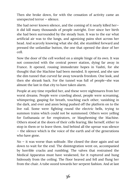Then she broke down, for with the cessation of activity came an unexpected terror — silence.

She had never known silence, and the coming of it nearly killed her it did kill many thousands of people outright. Ever since her birth she had been surrounded by the steady hum. It was to the ear what artificial air was to the lungs, and agonizing pains shot across her head. And scarcely knowing what she did, she stumbled forward and pressed the unfamiliar button, the one that opened the door of her cell.

Now the door of the cell worked on a simple hinge of its own. It was not connected with the central power station, dying far away in France. It opened, rousing immoderate hopes in Vashti, for she thought that the Machine had been mended. It opened, and she saw the dim tunnel that curved far away towards freedom. One look, and then she shrank back. For the tunnel was full of people—she was almost the last in that city to have taken alarm.

People at any time repelled her, and these were nightmares from her worst dreams. People were crawling about, people were screaming, whimpering, gasping for breath, touching each other, vanishing in the dark, and ever and anon being pushed off the platform on to the live rail. Some were fighting round the electric bells, trying to summon trains which could not be summoned. Others were yelling for Euthanasia or for respirators, or blaspheming the Machine. Others stood at the doors of their cells fearing, like herself, either to stop in them or to leave them. And behind all the uproar was silence — the silence which is the voice of the earth and of the generations who have gone.

 $No - it was worse than solitude. She closed the door again and sat$ down to wait for the end. The disintegration went on, accompanied by horrible cracks and rumbling. The valves that restrained the Medical Apparatus must have weakened, for it ruptured and hung hideously from the ceiling. The floor heaved and fell and flung her from the chair. A tube oozed towards her serpent fashion. And at last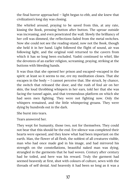the final horror approached  $-$  light began to ebb, and she knew that civilization's long day was closing.

She whirled around, praying to be saved from this, at any rate, kissing the Book, pressing button after button. The uproar outside was increasing, and even penetrated the wall. Slowly the brilliancy of her cell was dimmed, the reflections faded from the metal switches. Now she could not see the reading-stand, now not the Book, though she held it in her hand. Light followed the flight of sound, air was following light, and the original void returned to the cavern from which it has so long been excluded. Vashti continued to whirl, like the devotees of an earlier religion, screaming, praying, striking at the buttons with bleeding hands.

It was thus that she opened her prison and escaped—escaped in the spirit: at least so it seems to me, ere my meditation closes. That she escapes in the body  $-$  I cannot perceive that. She struck, by chance, the switch that released the door, and the rush of foul air on her skin, the loud throbbing whispers in her ears, told her that she was facing the tunnel again, and that tremendous platform on which she had seen men fighting. They were not fighting now. Only the whispers remained, and the little whimpering groans. They were dying by hundreds out in the dark.

She burst into tears.

Tears answered her.

They wept for humanity, those two, not for themselves. They could not bear that this should be the end. Ere silence was completed their hearts were opened, and they knew what had been important on the earth. Man, the flower of all flesh, the noblest of all creatures visible, man who had once made god in his image, and had mirrored his strength on the constellations, beautiful naked man was dying, strangled in the garments that he had woven. Century after century had he toiled, and here was his reward. Truly the garment had seemed heavenly at first, shot with colours of culture, sewn with the threads of self denial. And heavenly it had been so long as it was a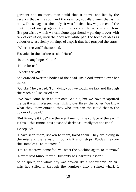garment and no more, man could shed it at will and live by the essence that is his soul, and the essence, equally divine, that is his body. The sin against the body—it was for that they wept in chief; the centuries of wrong against the muscles and the nerves, and those five portals by which we can alone apprehend — glozing it over with talk of evolution, until the body was white pap, the home of ideas as colourless, last sloshy stirrings of a spirit that had grasped the stars.

"Where are you?" she sobbed.

His voice in the darkness said, "Here."

"Is there any hope, Kuno?"

"None for us."

"Where are you?"

She crawled over the bodies of the dead. His blood spurted over her hands.

"Quicker," he gasped, "I am dying—but we touch, we talk, not through the Machine." He kissed her.

"We have come back to our own. We die, but we have recaptured life, as it was in Wessex, when Ælfrid overthrew the Danes. We know what they know outside, they who dwelt in the cloud that is the colour of a pearl."

"But Kuno, is it true? Are there still men on the surface of the earth? Is this — this tunnel, this poisoned darkness —really not the end?"

He replied:

"I have seen them, spoken to them, loved them. They are hiding in the mist and the ferns until our civilization stops. To-day they are the Homeless— to-morrow—"

"Oh, to-morrow—some fool will start the Machine again, to-morrow."

"Never," said Kuno, "never. Humanity has learnt its lesson."

As he spoke, the whole city was broken like a honeycomb. An airship had sailed in through the vomitory into a ruined wharf. It